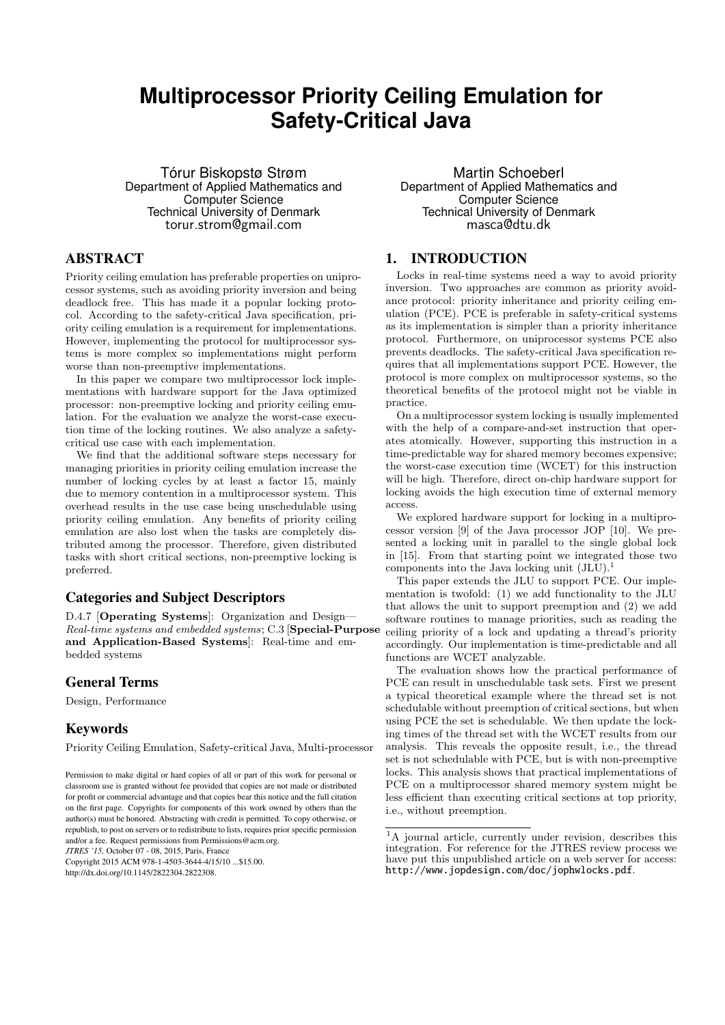# **Multiprocessor Priority Ceiling Emulation for Safety-Critical Java**

Tórur Biskopstø Strøm Department of Applied Mathematics and Computer Science Technical University of Denmark torur.strom@gmail.com

# ABSTRACT

Priority ceiling emulation has preferable properties on uniprocessor systems, such as avoiding priority inversion and being deadlock free. This has made it a popular locking protocol. According to the safety-critical Java specification, priority ceiling emulation is a requirement for implementations. However, implementing the protocol for multiprocessor systems is more complex so implementations might perform worse than non-preemptive implementations.

In this paper we compare two multiprocessor lock implementations with hardware support for the Java optimized processor: non-preemptive locking and priority ceiling emulation. For the evaluation we analyze the worst-case execution time of the locking routines. We also analyze a safetycritical use case with each implementation.

We find that the additional software steps necessary for managing priorities in priority ceiling emulation increase the number of locking cycles by at least a factor 15, mainly due to memory contention in a multiprocessor system. This overhead results in the use case being unschedulable using priority ceiling emulation. Any benefits of priority ceiling emulation are also lost when the tasks are completely distributed among the processor. Therefore, given distributed tasks with short critical sections, non-preemptive locking is preferred.

# Categories and Subject Descriptors

D.4.7 [Operating Systems]: Organization and Design-Real-time systems and embedded systems; C.3 [Special-Purpose and Application-Based Systems]: Real-time and embedded systems

## General Terms

Design, Performance

## Keywords

Priority Ceiling Emulation, Safety-critical Java, Multi-processor

Copyright 2015 ACM 978-1-4503-3644-4/15/10 ...\$15.00. http://dx.doi.org/10.1145/2822304.2822308.

Martin Schoeberl Department of Applied Mathematics and Computer Science Technical University of Denmark masca@dtu.dk

# 1. INTRODUCTION

Locks in real-time systems need a way to avoid priority inversion. Two approaches are common as priority avoidance protocol: priority inheritance and priority ceiling emulation (PCE). PCE is preferable in safety-critical systems as its implementation is simpler than a priority inheritance protocol. Furthermore, on uniprocessor systems PCE also prevents deadlocks. The safety-critical Java specification requires that all implementations support PCE. However, the protocol is more complex on multiprocessor systems, so the theoretical benefits of the protocol might not be viable in practice.

On a multiprocessor system locking is usually implemented with the help of a compare-and-set instruction that operates atomically. However, supporting this instruction in a time-predictable way for shared memory becomes expensive; the worst-case execution time (WCET) for this instruction will be high. Therefore, direct on-chip hardware support for locking avoids the high execution time of external memory access.

We explored hardware support for locking in a multiprocessor version [\[9\]](#page-9-0) of the Java processor JOP [\[10\]](#page-9-1). We presented a locking unit in parallel to the single global lock in [\[15\]](#page-9-2). From that starting point we integrated those two components into the Java locking unit  $(JLU)^{1}$  $(JLU)^{1}$  $(JLU)^{1}$ .

This paper extends the JLU to support PCE. Our implementation is twofold: (1) we add functionality to the JLU that allows the unit to support preemption and (2) we add software routines to manage priorities, such as reading the ceiling priority of a lock and updating a thread's priority accordingly. Our implementation is time-predictable and all functions are WCET analyzable.

The evaluation shows how the practical performance of PCE can result in unschedulable task sets. First we present a typical theoretical example where the thread set is not schedulable without preemption of critical sections, but when using PCE the set is schedulable. We then update the locking times of the thread set with the WCET results from our analysis. This reveals the opposite result, i.e., the thread set is not schedulable with PCE, but is with non-preemptive locks. This analysis shows that practical implementations of PCE on a multiprocessor shared memory system might be less efficient than executing critical sections at top priority, i.e., without preemption.

Permission to make digital or hard copies of all or part of this work for personal or classroom use is granted without fee provided that copies are not made or distributed for profit or commercial advantage and that copies bear this notice and the full citation on the first page. Copyrights for components of this work owned by others than the author(s) must be honored. Abstracting with credit is permitted. To copy otherwise, or republish, to post on servers or to redistribute to lists, requires prior specific permission and/or a fee. Request permissions from Permissions@acm.org. *JTRES '15,* October 07 - 08, 2015, Paris, France

<span id="page-0-0"></span><sup>&</sup>lt;sup>1</sup>A journal article, currently under revision, describes this integration. For reference for the JTRES review process we have put this unpublished article on a web server for access: <http://www.jopdesign.com/doc/jophwlocks.pdf>.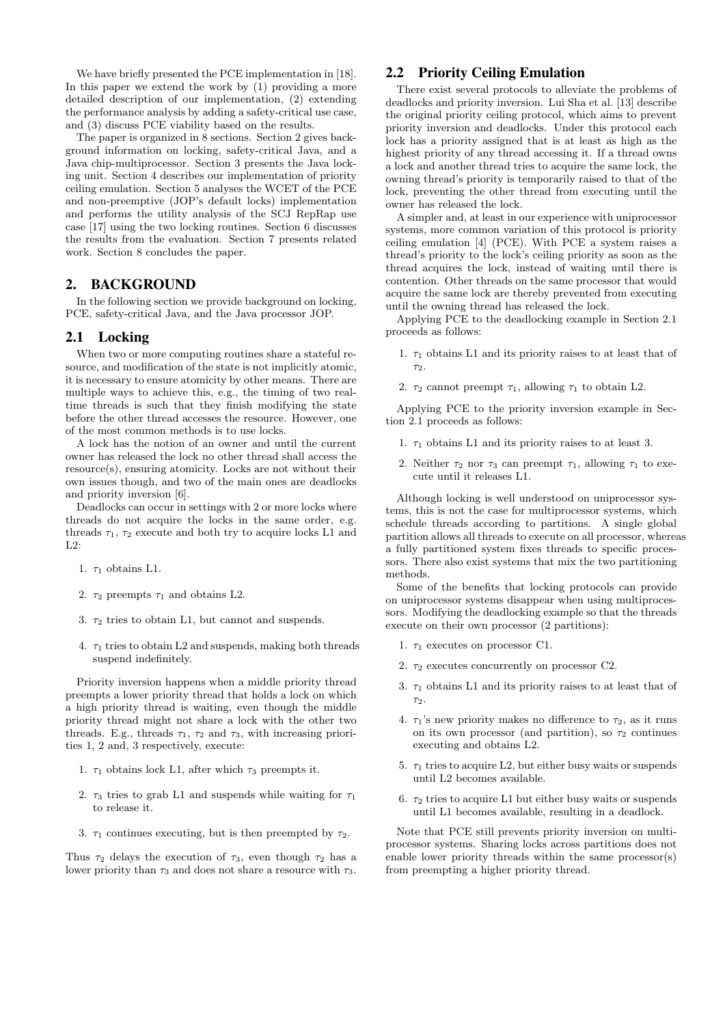We have briefly presented the PCE implementation in [\[18\]](#page-9-3). In this paper we extend the work by (1) providing a more detailed description of our implementation, (2) extending the performance analysis by adding a safety-critical use case, and (3) discuss PCE viability based on the results.

The paper is organized in 8 sections. Section [2](#page-1-0) gives background information on locking, safety-critical Java, and a Java chip-multiprocessor. Section [3](#page-3-0) presents the Java locking unit. Section [4](#page-4-0) describes our implementation of priority ceiling emulation. Section [5](#page-5-0) analyses the WCET of the PCE and non-preemptive (JOP's default locks) implementation and performs the utility analysis of the SCJ RepRap use case [\[17\]](#page-9-4) using the two locking routines. Section [6](#page-6-0) discusses the results from the evaluation. Section [7](#page-8-0) presents related work. Section [8](#page-8-1) concludes the paper.

# <span id="page-1-0"></span>2. BACKGROUND

In the following section we provide background on locking, PCE, safety-critical Java, and the Java processor JOP.

# <span id="page-1-1"></span>2.1 Locking

When two or more computing routines share a stateful resource, and modification of the state is not implicitly atomic, it is necessary to ensure atomicity by other means. There are multiple ways to achieve this, e.g., the timing of two realtime threads is such that they finish modifying the state before the other thread accesses the resource. However, one of the most common methods is to use locks.

A lock has the notion of an owner and until the current owner has released the lock no other thread shall access the resource(s), ensuring atomicity. Locks are not without their own issues though, and two of the main ones are deadlocks and priority inversion [\[6\]](#page-9-5).

Deadlocks can occur in settings with 2 or more locks where threads do not acquire the locks in the same order, e.g. threads  $\tau_1$ ,  $\tau_2$  execute and both try to acquire locks L1 and L2:

- 1.  $\tau_1$  obtains L1.
- 2.  $\tau_2$  preempts  $\tau_1$  and obtains L2.
- 3.  $\tau_2$  tries to obtain L1, but cannot and suspends.
- 4.  $\tau_1$  tries to obtain L2 and suspends, making both threads suspend indefinitely.

Priority inversion happens when a middle priority thread preempts a lower priority thread that holds a lock on which a high priority thread is waiting, even though the middle priority thread might not share a lock with the other two threads. E.g., threads  $\tau_1$ ,  $\tau_2$  and  $\tau_3$ , with increasing priorities 1, 2 and, 3 respectively, execute:

- 1.  $\tau_1$  obtains lock L1, after which  $\tau_3$  preempts it.
- 2.  $\tau_3$  tries to grab L1 and suspends while waiting for  $\tau_1$ to release it.
- 3.  $\tau_1$  continues executing, but is then preempted by  $\tau_2$ .

Thus  $\tau_2$  delays the execution of  $\tau_3$ , even though  $\tau_2$  has a lower priority than  $\tau_3$  and does not share a resource with  $\tau_3$ .

# 2.2 Priority Ceiling Emulation

There exist several protocols to alleviate the problems of deadlocks and priority inversion. Lui Sha et al. [\[13\]](#page-9-6) describe the original priority ceiling protocol, which aims to prevent priority inversion and deadlocks. Under this protocol each lock has a priority assigned that is at least as high as the highest priority of any thread accessing it. If a thread owns a lock and another thread tries to acquire the same lock, the owning thread's priority is temporarily raised to that of the lock, preventing the other thread from executing until the owner has released the lock.

A simpler and, at least in our experience with uniprocessor systems, more common variation of this protocol is priority ceiling emulation [\[4\]](#page-9-7) (PCE). With PCE a system raises a thread's priority to the lock's ceiling priority as soon as the thread acquires the lock, instead of waiting until there is contention. Other threads on the same processor that would acquire the same lock are thereby prevented from executing until the owning thread has released the lock.

Applying PCE to the deadlocking example in Section [2.1](#page-1-1) proceeds as follows:

- 1.  $\tau_1$  obtains L1 and its priority raises to at least that of  $\tau_2$ .
- 2.  $\tau_2$  cannot preempt  $\tau_1$ , allowing  $\tau_1$  to obtain L2.

Applying PCE to the priority inversion example in Section [2.1](#page-1-1) proceeds as follows:

- 1.  $\tau_1$  obtains L1 and its priority raises to at least 3.
- 2. Neither  $\tau_2$  nor  $\tau_3$  can preempt  $\tau_1$ , allowing  $\tau_1$  to execute until it releases L1.

Although locking is well understood on uniprocessor systems, this is not the case for multiprocessor systems, which schedule threads according to partitions. A single global partition allows all threads to execute on all processor, whereas a fully partitioned system fixes threads to specific processors. There also exist systems that mix the two partitioning methods.

Some of the benefits that locking protocols can provide on uniprocessor systems disappear when using multiprocessors. Modifying the deadlocking example so that the threads execute on their own processor (2 partitions):

- 1.  $\tau_1$  executes on processor C1.
- 2.  $\tau_2$  executes concurrently on processor C2.
- 3.  $\tau_1$  obtains L1 and its priority raises to at least that of τ2.
- 4.  $\tau_1$ 's new priority makes no difference to  $\tau_2$ , as it runs on its own processor (and partition), so  $\tau_2$  continues executing and obtains L2.
- 5.  $\tau_1$  tries to acquire L2, but either busy waits or suspends until L2 becomes available.
- 6.  $\tau_2$  tries to acquire L1 but either busy waits or suspends until L1 becomes available, resulting in a deadlock.

Note that PCE still prevents priority inversion on multiprocessor systems. Sharing locks across partitions does not enable lower priority threads within the same processor(s) from preempting a higher priority thread.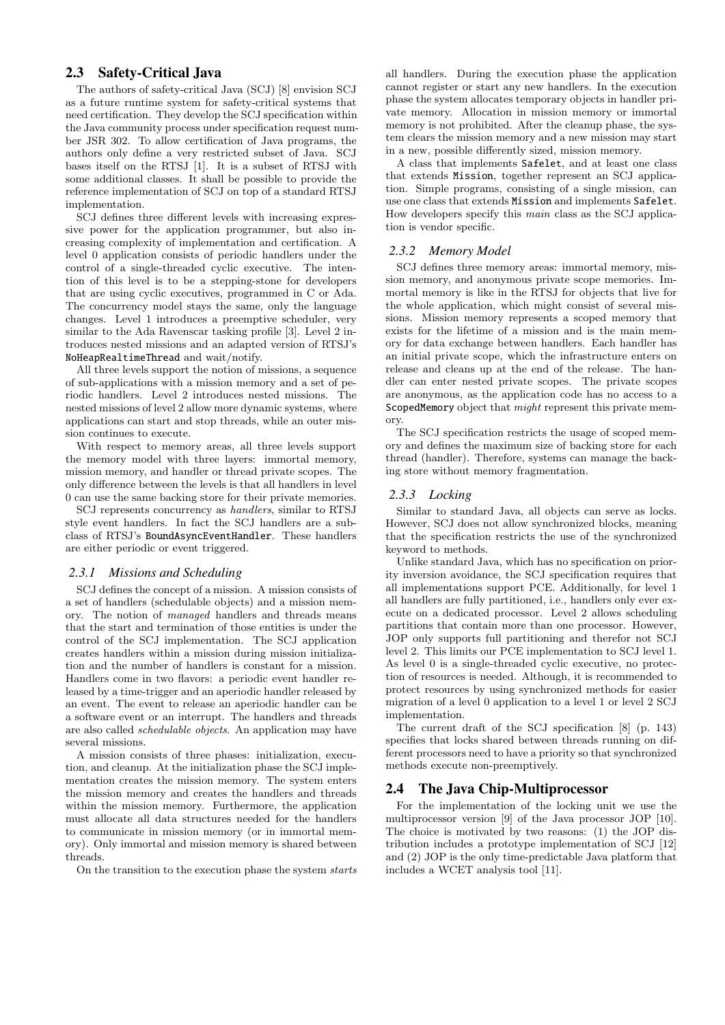# 2.3 Safety-Critical Java

The authors of safety-critical Java (SCJ) [\[8\]](#page-9-8) envision SCJ as a future runtime system for safety-critical systems that need certification. They develop the SCJ specification within the Java community process under specification request number JSR 302. To allow certification of Java programs, the authors only define a very restricted subset of Java. SCJ bases itself on the RTSJ [\[1\]](#page-9-9). It is a subset of RTSJ with some additional classes. It shall be possible to provide the reference implementation of SCJ on top of a standard RTSJ implementation.

SCJ defines three different levels with increasing expressive power for the application programmer, but also increasing complexity of implementation and certification. A level 0 application consists of periodic handlers under the control of a single-threaded cyclic executive. The intention of this level is to be a stepping-stone for developers that are using cyclic executives, programmed in C or Ada. The concurrency model stays the same, only the language changes. Level 1 introduces a preemptive scheduler, very similar to the Ada Ravenscar tasking profile [\[3\]](#page-9-10). Level 2 introduces nested missions and an adapted version of RTSJ's NoHeapRealtimeThread and wait/notify.

All three levels support the notion of missions, a sequence of sub-applications with a mission memory and a set of periodic handlers. Level 2 introduces nested missions. The nested missions of level 2 allow more dynamic systems, where applications can start and stop threads, while an outer mission continues to execute.

With respect to memory areas, all three levels support the memory model with three layers: immortal memory, mission memory, and handler or thread private scopes. The only difference between the levels is that all handlers in level 0 can use the same backing store for their private memories.

SCJ represents concurrency as handlers, similar to RTSJ style event handlers. In fact the SCJ handlers are a subclass of RTSJ's BoundAsyncEventHandler. These handlers are either periodic or event triggered.

## *2.3.1 Missions and Scheduling*

SCJ defines the concept of a mission. A mission consists of a set of handlers (schedulable objects) and a mission memory. The notion of managed handlers and threads means that the start and termination of those entities is under the control of the SCJ implementation. The SCJ application creates handlers within a mission during mission initialization and the number of handlers is constant for a mission. Handlers come in two flavors: a periodic event handler released by a time-trigger and an aperiodic handler released by an event. The event to release an aperiodic handler can be a software event or an interrupt. The handlers and threads are also called schedulable objects. An application may have several missions.

A mission consists of three phases: initialization, execution, and cleanup. At the initialization phase the SCJ implementation creates the mission memory. The system enters the mission memory and creates the handlers and threads within the mission memory. Furthermore, the application must allocate all data structures needed for the handlers to communicate in mission memory (or in immortal memory). Only immortal and mission memory is shared between threads.

On the transition to the execution phase the system starts

all handlers. During the execution phase the application cannot register or start any new handlers. In the execution phase the system allocates temporary objects in handler private memory. Allocation in mission memory or immortal memory is not prohibited. After the cleanup phase, the system clears the mission memory and a new mission may start in a new, possible differently sized, mission memory.

A class that implements Safelet, and at least one class that extends Mission, together represent an SCJ application. Simple programs, consisting of a single mission, can use one class that extends Mission and implements Safelet. How developers specify this main class as the SCJ application is vendor specific.

## *2.3.2 Memory Model*

SCJ defines three memory areas: immortal memory, mission memory, and anonymous private scope memories. Immortal memory is like in the RTSJ for objects that live for the whole application, which might consist of several missions. Mission memory represents a scoped memory that exists for the lifetime of a mission and is the main memory for data exchange between handlers. Each handler has an initial private scope, which the infrastructure enters on release and cleans up at the end of the release. The handler can enter nested private scopes. The private scopes are anonymous, as the application code has no access to a ScopedMemory object that *might* represent this private memory.

The SCJ specification restricts the usage of scoped memory and defines the maximum size of backing store for each thread (handler). Therefore, systems can manage the backing store without memory fragmentation.

## *2.3.3 Locking*

Similar to standard Java, all objects can serve as locks. However, SCJ does not allow synchronized blocks, meaning that the specification restricts the use of the synchronized keyword to methods.

Unlike standard Java, which has no specification on priority inversion avoidance, the SCJ specification requires that all implementations support PCE. Additionally, for level 1 all handlers are fully partitioned, i.e., handlers only ever execute on a dedicated processor. Level 2 allows scheduling partitions that contain more than one processor. However, JOP only supports full partitioning and therefor not SCJ level 2. This limits our PCE implementation to SCJ level 1. As level 0 is a single-threaded cyclic executive, no protection of resources is needed. Although, it is recommended to protect resources by using synchronized methods for easier migration of a level 0 application to a level 1 or level 2 SCJ implementation.

The current draft of the SCJ specification [\[8\]](#page-9-8) (p. 143) specifies that locks shared between threads running on different processors need to have a priority so that synchronized methods execute non-preemptively.

## 2.4 The Java Chip-Multiprocessor

For the implementation of the locking unit we use the multiprocessor version [\[9\]](#page-9-0) of the Java processor JOP [\[10\]](#page-9-1). The choice is motivated by two reasons: (1) the JOP distribution includes a prototype implementation of SCJ [\[12\]](#page-9-11) and (2) JOP is the only time-predictable Java platform that includes a WCET analysis tool [\[11\]](#page-9-12).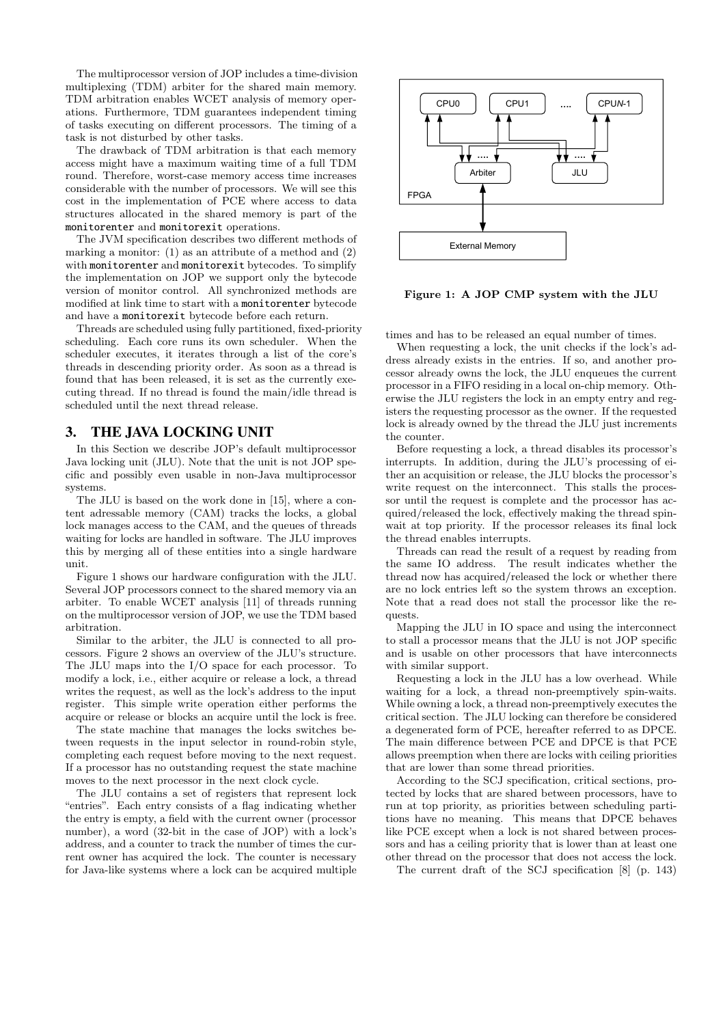The multiprocessor version of JOP includes a time-division multiplexing (TDM) arbiter for the shared main memory. TDM arbitration enables WCET analysis of memory operations. Furthermore, TDM guarantees independent timing of tasks executing on different processors. The timing of a task is not disturbed by other tasks.

The drawback of TDM arbitration is that each memory access might have a maximum waiting time of a full TDM round. Therefore, worst-case memory access time increases considerable with the number of processors. We will see this cost in the implementation of PCE where access to data structures allocated in the shared memory is part of the monitorenter and monitorexit operations.

The JVM specification describes two different methods of marking a monitor: (1) as an attribute of a method and (2) with monitorenter and monitorexit bytecodes. To simplify the implementation on JOP we support only the bytecode version of monitor control. All synchronized methods are modified at link time to start with a monitorenter bytecode and have a monitorexit bytecode before each return.

Threads are scheduled using fully partitioned, fixed-priority scheduling. Each core runs its own scheduler. When the scheduler executes, it iterates through a list of the core's threads in descending priority order. As soon as a thread is found that has been released, it is set as the currently executing thread. If no thread is found the main/idle thread is scheduled until the next thread release.

## <span id="page-3-0"></span>3. THE JAVA LOCKING UNIT

In this Section we describe JOP's default multiprocessor Java locking unit (JLU). Note that the unit is not JOP specific and possibly even usable in non-Java multiprocessor systems.

The JLU is based on the work done in [\[15\]](#page-9-2), where a content adressable memory (CAM) tracks the locks, a global lock manages access to the CAM, and the queues of threads waiting for locks are handled in software. The JLU improves this by merging all of these entities into a single hardware unit.

Figure [1](#page-3-1) shows our hardware configuration with the JLU. Several JOP processors connect to the shared memory via an arbiter. To enable WCET analysis [\[11\]](#page-9-12) of threads running on the multiprocessor version of JOP, we use the TDM based arbitration.

Similar to the arbiter, the JLU is connected to all processors. Figure [2](#page-4-1) shows an overview of the JLU's structure. The JLU maps into the I/O space for each processor. To modify a lock, i.e., either acquire or release a lock, a thread writes the request, as well as the lock's address to the input register. This simple write operation either performs the acquire or release or blocks an acquire until the lock is free.

The state machine that manages the locks switches between requests in the input selector in round-robin style, completing each request before moving to the next request. If a processor has no outstanding request the state machine moves to the next processor in the next clock cycle.

The JLU contains a set of registers that represent lock "entries". Each entry consists of a flag indicating whether the entry is empty, a field with the current owner (processor number), a word (32-bit in the case of JOP) with a lock's address, and a counter to track the number of times the current owner has acquired the lock. The counter is necessary for Java-like systems where a lock can be acquired multiple



<span id="page-3-1"></span>Figure 1: A JOP CMP system with the JLU

times and has to be released an equal number of times.

When requesting a lock, the unit checks if the lock's address already exists in the entries. If so, and another processor already owns the lock, the JLU enqueues the current processor in a FIFO residing in a local on-chip memory. Otherwise the JLU registers the lock in an empty entry and registers the requesting processor as the owner. If the requested lock is already owned by the thread the JLU just increments the counter.

Before requesting a lock, a thread disables its processor's interrupts. In addition, during the JLU's processing of either an acquisition or release, the JLU blocks the processor's write request on the interconnect. This stalls the processor until the request is complete and the processor has acquired/released the lock, effectively making the thread spinwait at top priority. If the processor releases its final lock the thread enables interrupts.

Threads can read the result of a request by reading from the same IO address. The result indicates whether the thread now has acquired/released the lock or whether there are no lock entries left so the system throws an exception. Note that a read does not stall the processor like the requests.

Mapping the JLU in IO space and using the interconnect to stall a processor means that the JLU is not JOP specific and is usable on other processors that have interconnects with similar support.

Requesting a lock in the JLU has a low overhead. While waiting for a lock, a thread non-preemptively spin-waits. While owning a lock, a thread non-preemptively executes the critical section. The JLU locking can therefore be considered a degenerated form of PCE, hereafter referred to as DPCE. The main difference between PCE and DPCE is that PCE allows preemption when there are locks with ceiling priorities that are lower than some thread priorities.

According to the SCJ specification, critical sections, protected by locks that are shared between processors, have to run at top priority, as priorities between scheduling partitions have no meaning. This means that DPCE behaves like PCE except when a lock is not shared between processors and has a ceiling priority that is lower than at least one other thread on the processor that does not access the lock.

The current draft of the SCJ specification [\[8\]](#page-9-8) (p. 143)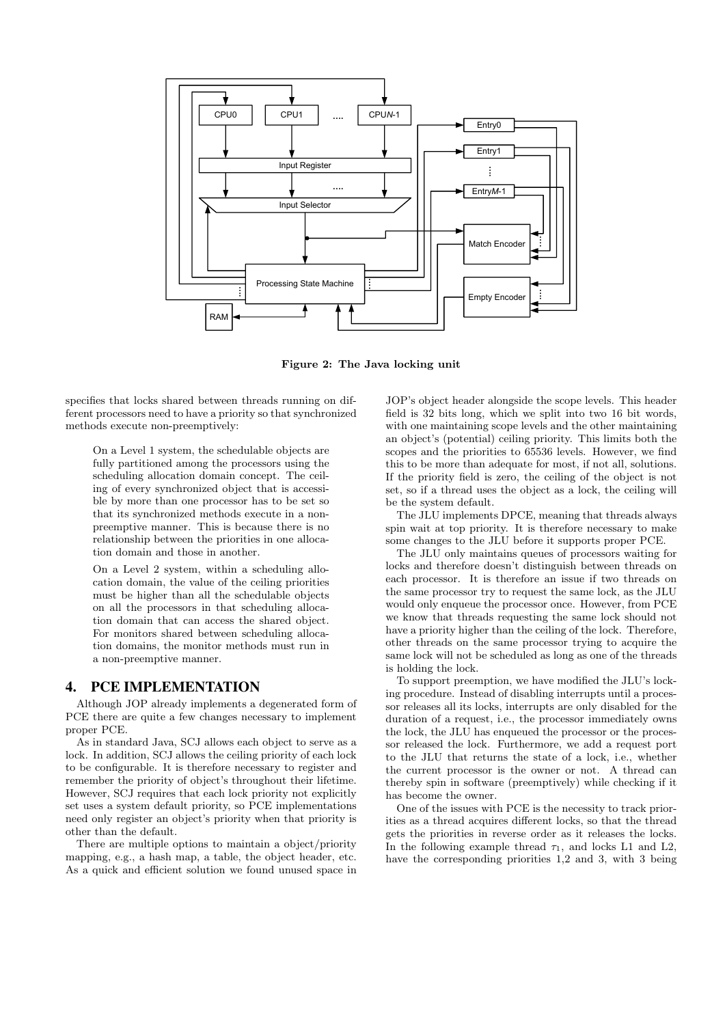

<span id="page-4-1"></span>Figure 2: The Java locking unit

specifies that locks shared between threads running on different processors need to have a priority so that synchronized methods execute non-preemptively:

On a Level 1 system, the schedulable objects are fully partitioned among the processors using the scheduling allocation domain concept. The ceiling of every synchronized object that is accessible by more than one processor has to be set so that its synchronized methods execute in a nonpreemptive manner. This is because there is no relationship between the priorities in one allocation domain and those in another.

On a Level 2 system, within a scheduling allocation domain, the value of the ceiling priorities must be higher than all the schedulable objects on all the processors in that scheduling allocation domain that can access the shared object. For monitors shared between scheduling allocation domains, the monitor methods must run in a non-preemptive manner.

## <span id="page-4-0"></span>4. PCE IMPLEMENTATION

Although JOP already implements a degenerated form of PCE there are quite a few changes necessary to implement proper PCE.

As in standard Java, SCJ allows each object to serve as a lock. In addition, SCJ allows the ceiling priority of each lock to be configurable. It is therefore necessary to register and remember the priority of object's throughout their lifetime. However, SCJ requires that each lock priority not explicitly set uses a system default priority, so PCE implementations need only register an object's priority when that priority is other than the default.

There are multiple options to maintain a object/priority mapping, e.g., a hash map, a table, the object header, etc. As a quick and efficient solution we found unused space in

JOP's object header alongside the scope levels. This header field is 32 bits long, which we split into two 16 bit words, with one maintaining scope levels and the other maintaining an object's (potential) ceiling priority. This limits both the scopes and the priorities to 65536 levels. However, we find this to be more than adequate for most, if not all, solutions. If the priority field is zero, the ceiling of the object is not set, so if a thread uses the object as a lock, the ceiling will be the system default.

The JLU implements DPCE, meaning that threads always spin wait at top priority. It is therefore necessary to make some changes to the JLU before it supports proper PCE.

The JLU only maintains queues of processors waiting for locks and therefore doesn't distinguish between threads on each processor. It is therefore an issue if two threads on the same processor try to request the same lock, as the JLU would only enqueue the processor once. However, from PCE we know that threads requesting the same lock should not have a priority higher than the ceiling of the lock. Therefore, other threads on the same processor trying to acquire the same lock will not be scheduled as long as one of the threads is holding the lock.

To support preemption, we have modified the JLU's locking procedure. Instead of disabling interrupts until a processor releases all its locks, interrupts are only disabled for the duration of a request, i.e., the processor immediately owns the lock, the JLU has enqueued the processor or the processor released the lock. Furthermore, we add a request port to the JLU that returns the state of a lock, i.e., whether the current processor is the owner or not. A thread can thereby spin in software (preemptively) while checking if it has become the owner.

One of the issues with PCE is the necessity to track priorities as a thread acquires different locks, so that the thread gets the priorities in reverse order as it releases the locks. In the following example thread  $\tau_1$ , and locks L1 and L2, have the corresponding priorities 1,2 and 3, with 3 being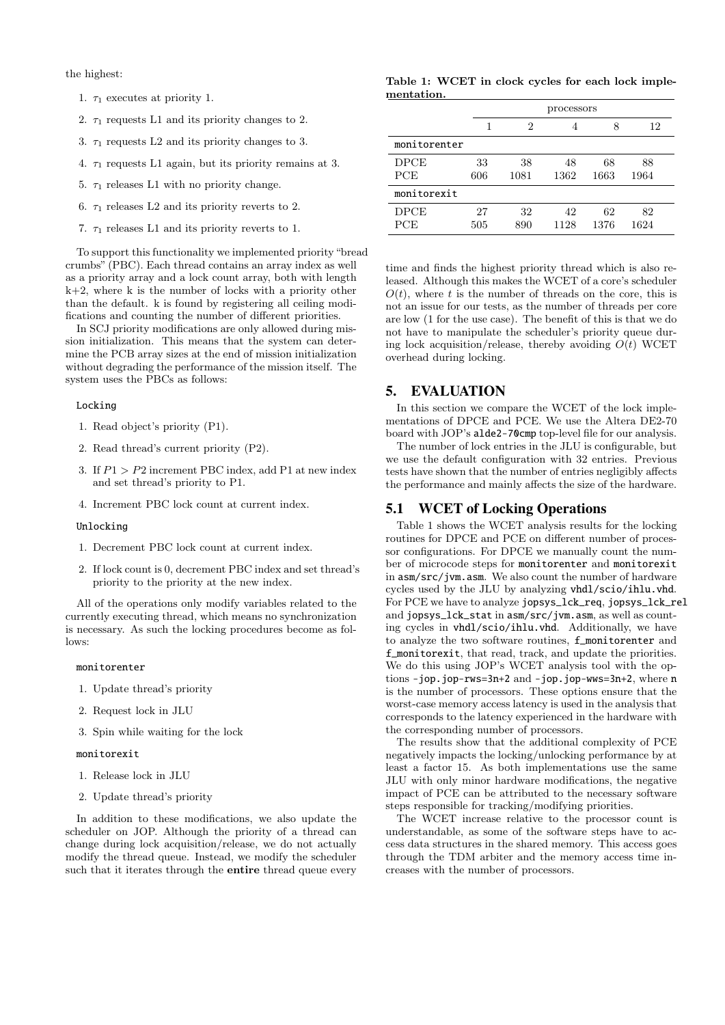the highest:

- 1.  $\tau_1$  executes at priority 1.
- 2.  $\tau_1$  requests L1 and its priority changes to 2.
- 3.  $\tau_1$  requests L2 and its priority changes to 3.
- 4.  $\tau_1$  requests L1 again, but its priority remains at 3.
- 5.  $\tau_1$  releases L1 with no priority change.
- 6.  $\tau_1$  releases L2 and its priority reverts to 2.
- 7.  $\tau_1$  releases L1 and its priority reverts to 1.

To support this functionality we implemented priority "bread crumbs" (PBC). Each thread contains an array index as well as a priority array and a lock count array, both with length  $k+2$ , where k is the number of locks with a priority other than the default. k is found by registering all ceiling modifications and counting the number of different priorities.

In SCJ priority modifications are only allowed during mission initialization. This means that the system can determine the PCB array sizes at the end of mission initialization without degrading the performance of the mission itself. The system uses the PBCs as follows:

#### Locking

- 1. Read object's priority (P1).
- 2. Read thread's current priority (P2).
- 3. If  $P1 > P2$  increment PBC index, add P1 at new index and set thread's priority to P1.
- 4. Increment PBC lock count at current index.

#### Unlocking

- 1. Decrement PBC lock count at current index.
- 2. If lock count is 0, decrement PBC index and set thread's priority to the priority at the new index.

All of the operations only modify variables related to the currently executing thread, which means no synchronization is necessary. As such the locking procedures become as follows:

#### monitorenter

- 1. Update thread's priority
- 2. Request lock in JLU
- 3. Spin while waiting for the lock

#### monitorexit

- 1. Release lock in JLU
- 2. Update thread's priority

In addition to these modifications, we also update the scheduler on JOP. Although the priority of a thread can change during lock acquisition/release, we do not actually modify the thread queue. Instead, we modify the scheduler such that it iterates through the **entire** thread queue every <span id="page-5-1"></span>Table 1: WCET in clock cycles for each lock implementation.

|                      |           | processors |            |            |            |  |  |  |
|----------------------|-----------|------------|------------|------------|------------|--|--|--|
|                      |           | 2          | 4          | 8          | 12         |  |  |  |
| monitorenter         |           |            |            |            |            |  |  |  |
| <b>DPCE</b><br>PCE   | 33<br>606 | 38<br>1081 | 48<br>1362 | 68<br>1663 | 88<br>1964 |  |  |  |
| monitorexit          |           |            |            |            |            |  |  |  |
| $_{\rm DPCE}$<br>PCE | 27<br>505 | 32<br>890  | 42<br>1128 | 62<br>1376 | 82<br>1624 |  |  |  |

time and finds the highest priority thread which is also released. Although this makes the WCET of a core's scheduler  $O(t)$ , where t is the number of threads on the core, this is not an issue for our tests, as the number of threads per core are low (1 for the use case). The benefit of this is that we do not have to manipulate the scheduler's priority queue during lock acquisition/release, thereby avoiding  $O(t)$  WCET overhead during locking.

## <span id="page-5-0"></span>5. EVALUATION

In this section we compare the WCET of the lock implementations of DPCE and PCE. We use the Altera DE2-70 board with JOP's alde2-70cmp top-level file for our analysis.

The number of lock entries in the JLU is configurable, but we use the default configuration with 32 entries. Previous tests have shown that the number of entries negligibly affects the performance and mainly affects the size of the hardware.

### 5.1 WCET of Locking Operations

Table [1](#page-5-1) shows the WCET analysis results for the locking routines for DPCE and PCE on different number of processor configurations. For DPCE we manually count the number of microcode steps for monitorenter and monitorexit in asm/src/jvm.asm. We also count the number of hardware cycles used by the JLU by analyzing vhdl/scio/ihlu.vhd. For PCE we have to analyze jopsys\_lck\_req, jopsys\_lck\_rel and jopsys\_lck\_stat in asm/src/jvm.asm, as well as counting cycles in vhdl/scio/ihlu.vhd. Additionally, we have to analyze the two software routines, f\_monitorenter and f\_monitorexit, that read, track, and update the priorities. We do this using JOP's WCET analysis tool with the options -jop.jop-rws=3n+2 and -jop.jop-wws=3n+2, where  $n$ is the number of processors. These options ensure that the worst-case memory access latency is used in the analysis that corresponds to the latency experienced in the hardware with the corresponding number of processors.

The results show that the additional complexity of PCE negatively impacts the locking/unlocking performance by at least a factor 15. As both implementations use the same JLU with only minor hardware modifications, the negative impact of PCE can be attributed to the necessary software steps responsible for tracking/modifying priorities.

The WCET increase relative to the processor count is understandable, as some of the software steps have to access data structures in the shared memory. This access goes through the TDM arbiter and the memory access time increases with the number of processors.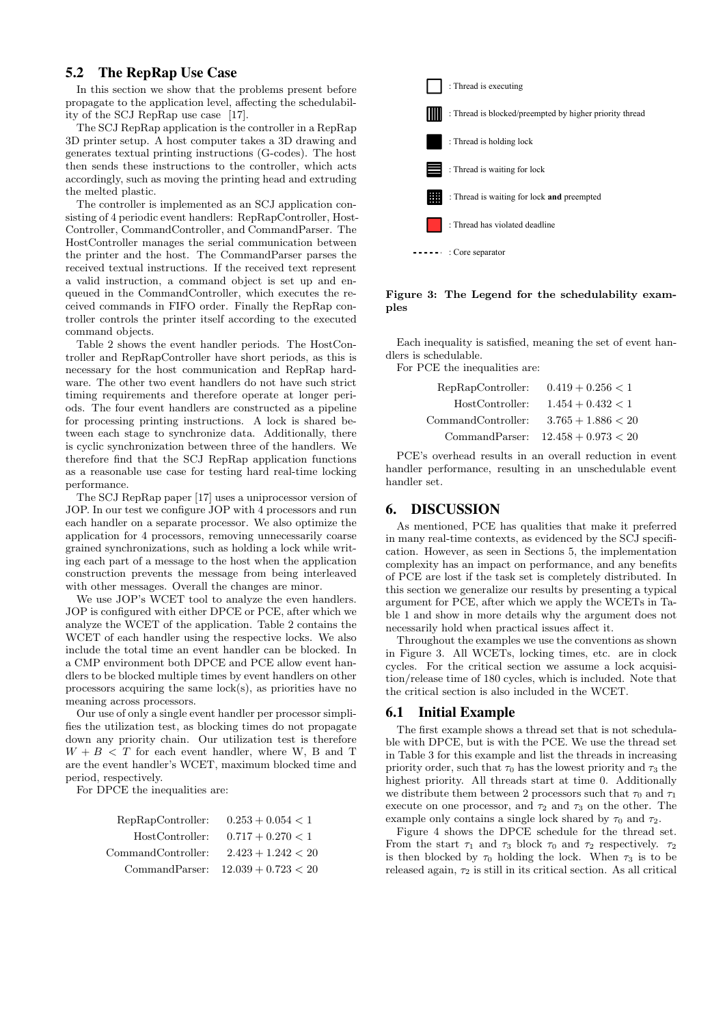# 5.2 The RepRap Use Case

In this section we show that the problems present before propagate to the application level, affecting the schedulability of the SCJ RepRap use case [\[17\]](#page-9-4).

The SCJ RepRap application is the controller in a RepRap 3D printer setup. A host computer takes a 3D drawing and generates textual printing instructions (G-codes). The host then sends these instructions to the controller, which acts accordingly, such as moving the printing head and extruding the melted plastic.

The controller is implemented as an SCJ application consisting of 4 periodic event handlers: RepRapController, Host-Controller, CommandController, and CommandParser. The HostController manages the serial communication between the printer and the host. The CommandParser parses the received textual instructions. If the received text represent a valid instruction, a command object is set up and enqueued in the CommandController, which executes the received commands in FIFO order. Finally the RepRap controller controls the printer itself according to the executed command objects.

Table [2](#page-7-0) shows the event handler periods. The HostController and RepRapController have short periods, as this is necessary for the host communication and RepRap hardware. The other two event handlers do not have such strict timing requirements and therefore operate at longer periods. The four event handlers are constructed as a pipeline for processing printing instructions. A lock is shared between each stage to synchronize data. Additionally, there is cyclic synchronization between three of the handlers. We therefore find that the SCJ RepRap application functions as a reasonable use case for testing hard real-time locking performance.

The SCJ RepRap paper [\[17\]](#page-9-4) uses a uniprocessor version of JOP. In our test we configure JOP with 4 processors and run each handler on a separate processor. We also optimize the application for 4 processors, removing unnecessarily coarse grained synchronizations, such as holding a lock while writing each part of a message to the host when the application construction prevents the message from being interleaved with other messages. Overall the changes are minor.

We use JOP's WCET tool to analyze the even handlers. JOP is configured with either DPCE or PCE, after which we analyze the WCET of the application. Table [2](#page-7-0) contains the WCET of each handler using the respective locks. We also include the total time an event handler can be blocked. In a CMP environment both DPCE and PCE allow event handlers to be blocked multiple times by event handlers on other processors acquiring the same lock(s), as priorities have no meaning across processors.

Our use of only a single event handler per processor simplifies the utilization test, as blocking times do not propagate down any priority chain. Our utilization test is therefore  $W + B < T$  for each event handler, where W, B and T are the event handler's WCET, maximum blocked time and period, respectively.

For DPCE the inequalities are:

| RepRapController:  | $0.253 + 0.054 < 1$   |
|--------------------|-----------------------|
| HostController:    | $0.717 + 0.270 < 1$   |
| CommandController: | $2.423 + 1.242 < 20$  |
| CommandParser:     | $12.039 + 0.723 < 20$ |



## <span id="page-6-1"></span>Figure 3: The Legend for the schedulability examples

Each inequality is satisfied, meaning the set of event handlers is schedulable.

For PCE the inequalities are:

| RepRapController:  | $0.419 + 0.256 < 1$   |
|--------------------|-----------------------|
| HostController:    | $1.454 + 0.432 < 1$   |
| CommandController: | $3.765 + 1.886 < 20$  |
| CommandParser:     | $12.458 + 0.973 < 20$ |

PCE's overhead results in an overall reduction in event handler performance, resulting in an unschedulable event handler set.

# <span id="page-6-0"></span>6. DISCUSSION

As mentioned, PCE has qualities that make it preferred in many real-time contexts, as evidenced by the SCJ specification. However, as seen in Sections [5,](#page-5-0) the implementation complexity has an impact on performance, and any benefits of PCE are lost if the task set is completely distributed. In this section we generalize our results by presenting a typical argument for PCE, after which we apply the WCETs in Table [1](#page-5-1) and show in more details why the argument does not necessarily hold when practical issues affect it.

Throughout the examples we use the conventions as shown in Figure [3.](#page-6-1) All WCETs, locking times, etc. are in clock cycles. For the critical section we assume a lock acquisition/release time of 180 cycles, which is included. Note that the critical section is also included in the WCET.

## 6.1 Initial Example

The first example shows a thread set that is not schedulable with DPCE, but is with the PCE. We use the thread set in Table [3](#page-7-1) for this example and list the threads in increasing priority order, such that  $\tau_0$  has the lowest priority and  $\tau_3$  the highest priority. All threads start at time 0. Additionally we distribute them between 2 processors such that  $\tau_0$  and  $\tau_1$ execute on one processor, and  $\tau_2$  and  $\tau_3$  on the other. The example only contains a single lock shared by  $\tau_0$  and  $\tau_2$ .

Figure [4](#page-7-2) shows the DPCE schedule for the thread set. From the start  $\tau_1$  and  $\tau_3$  block  $\tau_0$  and  $\tau_2$  respectively.  $\tau_2$ is then blocked by  $\tau_0$  holding the lock. When  $\tau_3$  is to be released again,  $\tau_2$  is still in its critical section. As all critical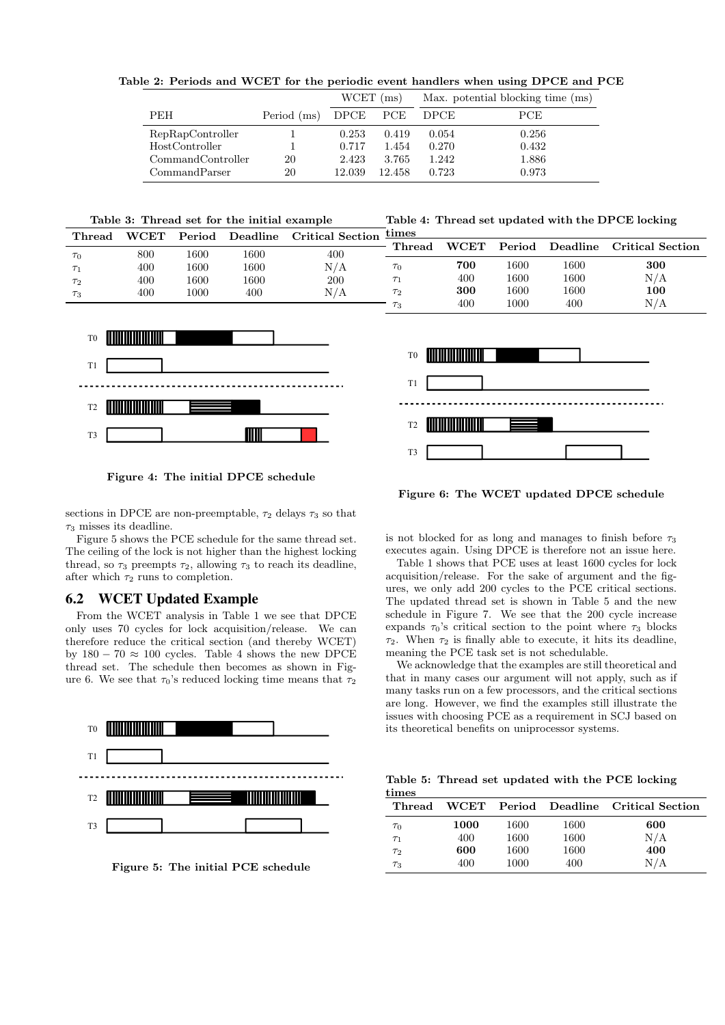Table 2: Periods and WCET for the periodic event handlers when using DPCE and PCE

<span id="page-7-0"></span>

|                       |             | $WCET$ (ms) |        | Max. potential blocking time (ms) |            |  |
|-----------------------|-------------|-------------|--------|-----------------------------------|------------|--|
| <b>PEH</b>            | Period (ms) | $\rm DPCE$  | PCE    | DPCE                              | <b>PCE</b> |  |
| RepRapController      |             | 0.253       | 0.419  | 0.054                             | 0.256      |  |
| <b>HostController</b> |             | 0.717       | 1.454  | 0.270                             | 0.432      |  |
| CommandController     | 20          | 2.423       | 3.765  | 1.242                             | 1.886      |  |
| CommandParser         | 20          | 12.039      | 12.458 | 0.723                             | 0.973      |  |

<span id="page-7-1"></span>

<span id="page-7-4"></span>Table 4: Thread set updated with the DPCE locking

| Thread   | <b>WCET</b> | Period | Deadline | <b>Critical Section</b> | times    |             |        |          |                  |
|----------|-------------|--------|----------|-------------------------|----------|-------------|--------|----------|------------------|
|          |             |        |          |                         | Thread   | <b>WCET</b> | Period | Deadline | Critical Section |
| $\tau_0$ | 800         | 1600   | 1600     | 400                     |          |             |        |          |                  |
| $T_1$    | 400         | 1600   | 1600     | N/A                     | $\tau_0$ | 700         | 1600   | 1600     | 300              |
| $\tau_2$ | 400         | 1600   | 1600     | 200                     |          | 400         | 1600   | 1600     | N/A              |
| $\tau_3$ | 400         | 1000   | 400      | N/A                     | $\tau_2$ | 300         | 1600   | 1600     | 100              |
|          |             |        |          |                         |          | 400         | 1000   | 400      | N/A              |



<span id="page-7-2"></span>Figure 4: The initial DPCE schedule

sections in DPCE are non-preemptable,  $\tau_2$  delays  $\tau_3$  so that  $\tau_3$  misses its deadline.

Figure [5](#page-7-3) shows the PCE schedule for the same thread set. The ceiling of the lock is not higher than the highest locking thread, so  $\tau_3$  preempts  $\tau_2$ , allowing  $\tau_3$  to reach its deadline, after which  $\tau_2$  runs to completion.

# 6.2 WCET Updated Example

From the WCET analysis in Table [1](#page-5-1) we see that DPCE only uses 70 cycles for lock acquisition/release. We can therefore reduce the critical section (and thereby WCET) by  $180 - 70 \approx 100$  cycles. Table [4](#page-7-4) shows the new DPCE thread set. The schedule then becomes as shown in Fig-ure [6.](#page-7-5) We see that  $\tau_0$ 's reduced locking time means that  $\tau_2$ 



<span id="page-7-3"></span>Figure 5: The initial PCE schedule



<span id="page-7-5"></span>Figure 6: The WCET updated DPCE schedule

is not blocked for as long and manages to finish before  $\tau_3$ executes again. Using DPCE is therefore not an issue here.

Table [1](#page-5-1) shows that PCE uses at least 1600 cycles for lock acquisition/release. For the sake of argument and the figures, we only add 200 cycles to the PCE critical sections. The updated thread set is shown in Table [5](#page-7-6) and the new schedule in Figure [7.](#page-8-2) We see that the 200 cycle increase expands  $\tau_0$ 's critical section to the point where  $\tau_3$  blocks  $\tau_2$ . When  $\tau_2$  is finally able to execute, it hits its deadline, meaning the PCE task set is not schedulable.

We acknowledge that the examples are still theoretical and that in many cases our argument will not apply, such as if many tasks run on a few processors, and the critical sections are long. However, we find the examples still illustrate the issues with choosing PCE as a requirement in SCJ based on its theoretical benefits on uniprocessor systems.

<span id="page-7-6"></span>Table 5: Thread set updated with the PCE locking times

| Thread   |      |      |      | WCET Period Deadline Critical Section |
|----------|------|------|------|---------------------------------------|
| $\tau_0$ | 1000 | 1600 | 1600 | 600                                   |
| $\tau_1$ | 400  | 1600 | 1600 | N/A                                   |
| $\tau_2$ | 600  | 1600 | 1600 | 400                                   |
| $\tau_3$ | 400  | 1000 | 400  | N/A                                   |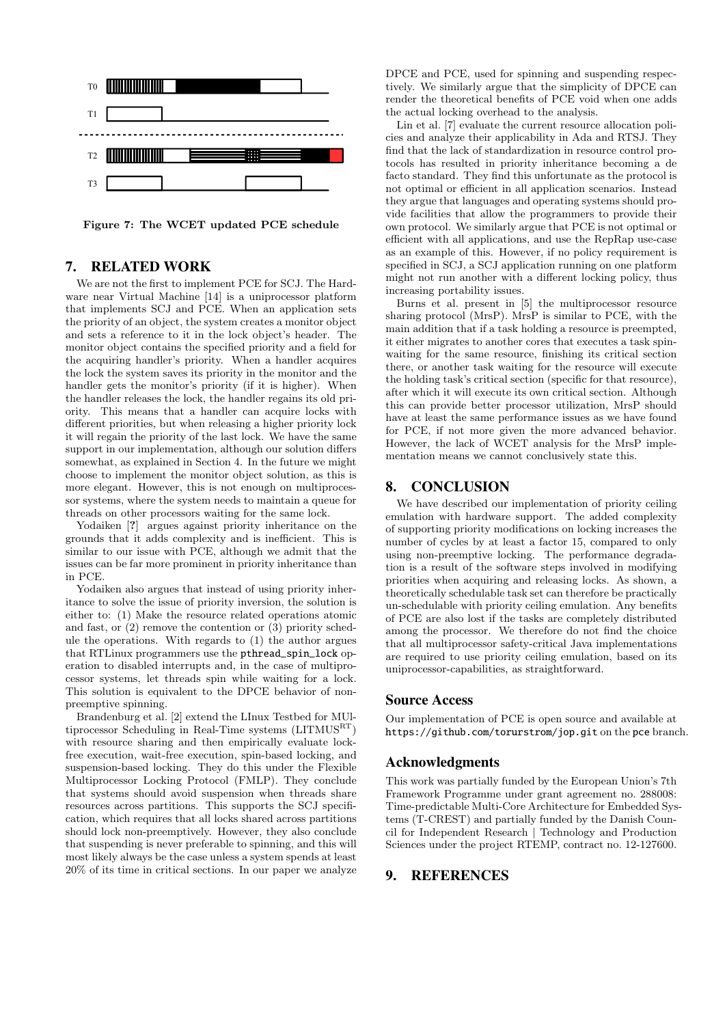

<span id="page-8-2"></span>Figure 7: The WCET updated PCE schedule

# <span id="page-8-0"></span>7. RELATED WORK

We are not the first to implement PCE for SCJ. The Hardware near Virtual Machine [\[14\]](#page-9-13) is a uniprocessor platform that implements SCJ and PCE. When an application sets the priority of an object, the system creates a monitor object and sets a reference to it in the lock object's header. The monitor object contains the specified priority and a field for the acquiring handler's priority. When a handler acquires the lock the system saves its priority in the monitor and the handler gets the monitor's priority (if it is higher). When the handler releases the lock, the handler regains its old priority. This means that a handler can acquire locks with different priorities, but when releasing a higher priority lock it will regain the priority of the last lock. We have the same support in our implementation, although our solution differs somewhat, as explained in Section [4.](#page-4-0) In the future we might choose to implement the monitor object solution, as this is more elegant. However, this is not enough on multiprocessor systems, where the system needs to maintain a queue for threads on other processors waiting for the same lock.

Yodaiken [?] argues against priority inheritance on the grounds that it adds complexity and is inefficient. This is similar to our issue with PCE, although we admit that the issues can be far more prominent in priority inheritance than in PCE.

Yodaiken also argues that instead of using priority inheritance to solve the issue of priority inversion, the solution is either to: (1) Make the resource related operations atomic and fast, or (2) remove the contention or (3) priority schedule the operations. With regards to (1) the author argues that RTLinux programmers use the pthread\_spin\_lock operation to disabled interrupts and, in the case of multiprocessor systems, let threads spin while waiting for a lock. This solution is equivalent to the DPCE behavior of nonpreemptive spinning.

Brandenburg et al. [\[2\]](#page-9-14) extend the LInux Testbed for MUltiprocessor Scheduling in Real-Time systems (LITMUSRT) with resource sharing and then empirically evaluate lockfree execution, wait-free execution, spin-based locking, and suspension-based locking. They do this under the Flexible Multiprocessor Locking Protocol (FMLP). They conclude that systems should avoid suspension when threads share resources across partitions. This supports the SCJ specification, which requires that all locks shared across partitions should lock non-preemptively. However, they also conclude that suspending is never preferable to spinning, and this will most likely always be the case unless a system spends at least 20% of its time in critical sections. In our paper we analyze

DPCE and PCE, used for spinning and suspending respectively. We similarly argue that the simplicity of DPCE can render the theoretical benefits of PCE void when one adds the actual locking overhead to the analysis.

Lin et al. [\[7\]](#page-9-15) evaluate the current resource allocation policies and analyze their applicability in Ada and RTSJ. They find that the lack of standardization in resource control protocols has resulted in priority inheritance becoming a de facto standard. They find this unfortunate as the protocol is not optimal or efficient in all application scenarios. Instead they argue that languages and operating systems should provide facilities that allow the programmers to provide their own protocol. We similarly argue that PCE is not optimal or efficient with all applications, and use the RepRap use-case as an example of this. However, if no policy requirement is specified in SCJ, a SCJ application running on one platform might not run another with a different locking policy, thus increasing portability issues.

Burns et al. present in [\[5\]](#page-9-16) the multiprocessor resource sharing protocol (MrsP). MrsP is similar to PCE, with the main addition that if a task holding a resource is preempted, it either migrates to another cores that executes a task spinwaiting for the same resource, finishing its critical section there, or another task waiting for the resource will execute the holding task's critical section (specific for that resource), after which it will execute its own critical section. Although this can provide better processor utilization, MrsP should have at least the same performance issues as we have found for PCE, if not more given the more advanced behavior. However, the lack of WCET analysis for the MrsP implementation means we cannot conclusively state this.

# <span id="page-8-1"></span>8. CONCLUSION

We have described our implementation of priority ceiling emulation with hardware support. The added complexity of supporting priority modifications on locking increases the number of cycles by at least a factor 15, compared to only using non-preemptive locking. The performance degradation is a result of the software steps involved in modifying priorities when acquiring and releasing locks. As shown, a theoretically schedulable task set can therefore be practically un-schedulable with priority ceiling emulation. Any benefits of PCE are also lost if the tasks are completely distributed among the processor. We therefore do not find the choice that all multiprocessor safety-critical Java implementations are required to use priority ceiling emulation, based on its uniprocessor-capabilities, as straightforward.

## Source Access

Our implementation of PCE is open source and available at <https://github.com/torurstrom/jop.git> on the pce branch.

## Acknowledgments

This work was partially funded by the European Union's 7th Framework Programme under grant agreement no. 288008: Time-predictable Multi-Core Architecture for Embedded Systems (T-CREST) and partially funded by the Danish Council for Independent Research | Technology and Production Sciences under the project RTEMP, contract no. 12-127600.

# 9. REFERENCES